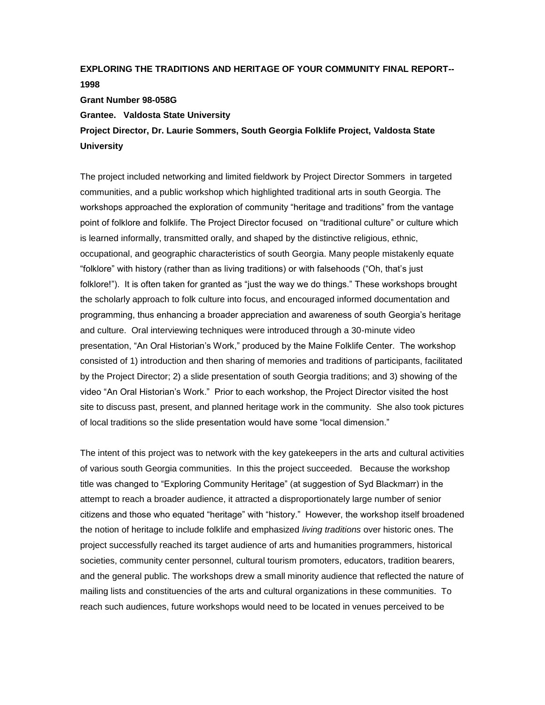## **EXPLORING THE TRADITIONS AND HERITAGE OF YOUR COMMUNITY FINAL REPORT-- 1998 Grant Number 98-058G**

**Grantee. Valdosta State University**

**Project Director, Dr. Laurie Sommers, South Georgia Folklife Project, Valdosta State University**

The project included networking and limited fieldwork by Project Director Sommers in targeted communities, and a public workshop which highlighted traditional arts in south Georgia. The workshops approached the exploration of community "heritage and traditions" from the vantage point of folklore and folklife. The Project Director focused on "traditional culture" or culture which is learned informally, transmitted orally, and shaped by the distinctive religious, ethnic, occupational, and geographic characteristics of south Georgia. Many people mistakenly equate "folklore" with history (rather than as living traditions) or with falsehoods ("Oh, that's just folklore!"). It is often taken for granted as "just the way we do things." These workshops brought the scholarly approach to folk culture into focus, and encouraged informed documentation and programming, thus enhancing a broader appreciation and awareness of south Georgia's heritage and culture. Oral interviewing techniques were introduced through a 30-minute video presentation, "An Oral Historian's Work," produced by the Maine Folklife Center. The workshop consisted of 1) introduction and then sharing of memories and traditions of participants, facilitated by the Project Director; 2) a slide presentation of south Georgia traditions; and 3) showing of the video "An Oral Historian's Work." Prior to each workshop, the Project Director visited the host site to discuss past, present, and planned heritage work in the community. She also took pictures of local traditions so the slide presentation would have some "local dimension."

The intent of this project was to network with the key gatekeepers in the arts and cultural activities of various south Georgia communities. In this the project succeeded. Because the workshop title was changed to "Exploring Community Heritage" (at suggestion of Syd Blackmarr) in the attempt to reach a broader audience, it attracted a disproportionately large number of senior citizens and those who equated "heritage" with "history." However, the workshop itself broadened the notion of heritage to include folklife and emphasized *living traditions* over historic ones. The project successfully reached its target audience of arts and humanities programmers, historical societies, community center personnel, cultural tourism promoters, educators, tradition bearers, and the general public. The workshops drew a small minority audience that reflected the nature of mailing lists and constituencies of the arts and cultural organizations in these communities. To reach such audiences, future workshops would need to be located in venues perceived to be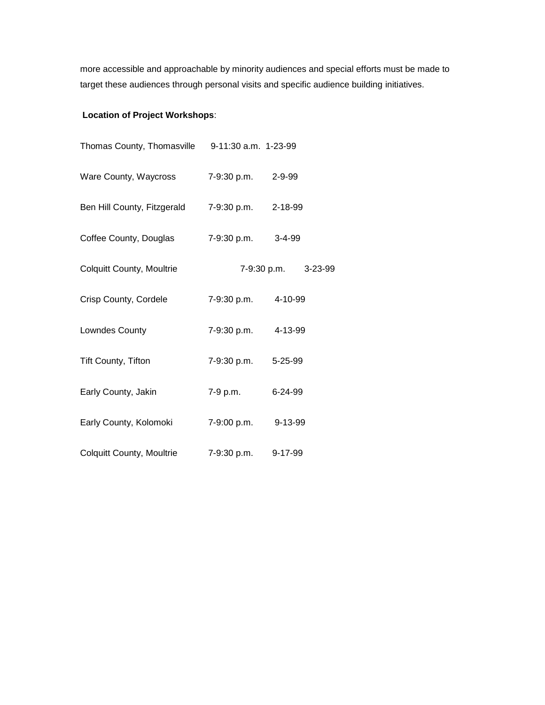more accessible and approachable by minority audiences and special efforts must be made to target these audiences through personal visits and specific audience building initiatives.

# **Location of Project Workshops**:

| Thomas County, Thomasville 9-11:30 a.m. 1-23-99 |                     |                     |
|-------------------------------------------------|---------------------|---------------------|
| Ware County, Waycross 7-9:30 p.m. 2-9-99        |                     |                     |
| Ben Hill County, Fitzgerald 7-9:30 p.m. 2-18-99 |                     |                     |
| Coffee County, Douglas                          | 7-9:30 p.m. 3-4-99  |                     |
| <b>Colquitt County, Moultrie</b>                |                     | 7-9:30 p.m. 3-23-99 |
| Crisp County, Cordele                           | 7-9:30 p.m.         | 4-10-99             |
| Lowndes County                                  | 7-9:30 p.m. 4-13-99 |                     |
| Tift County, Tifton                             | 7-9:30 p.m. 5-25-99 |                     |
| Early County, Jakin                             | 7-9 p.m.            | 6-24-99             |
| Early County, Kolomoki                          | 7-9:00 p.m.         | 9-13-99             |
| <b>Colquitt County, Moultrie</b>                | 7-9:30 p.m.         | 9-17-99             |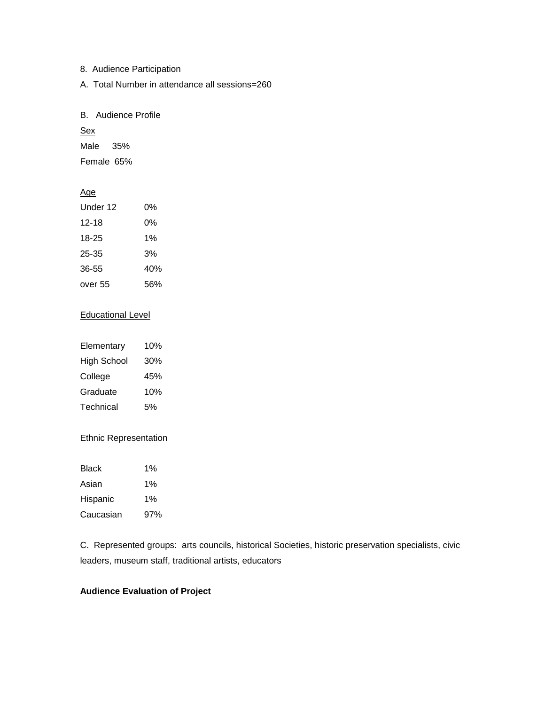8. Audience Participation

A. Total Number in attendance all sessions=260

B. Audience Profile

**Sex** 

Male 35%

Female 65%

### Age

| Under 12 | በ%  |
|----------|-----|
| 12-18    | 0%  |
| 18-25    | 1%  |
| 25-35    | 3%  |
| 36-55    | 40% |
| over 55  | 56% |

#### Educational Level

| Elementary         | 10% |
|--------------------|-----|
| <b>High School</b> | 30% |
| College            | 45% |
| Graduate           | 10% |
| Technical          | 5%  |

#### Ethnic Representation

| Black     | 1%  |
|-----------|-----|
| Asian     | 1%  |
| Hispanic  | 1%  |
| Caucasian | 97% |

C. Represented groups: arts councils, historical Societies, historic preservation specialists, civic leaders, museum staff, traditional artists, educators

#### **Audience Evaluation of Project**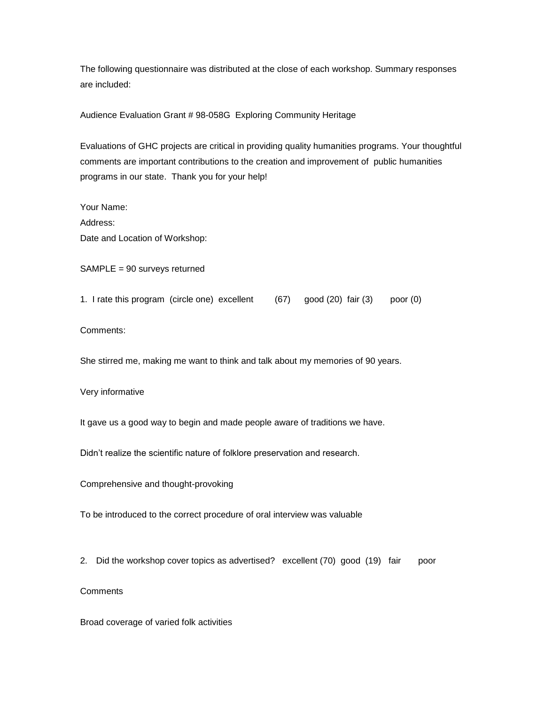The following questionnaire was distributed at the close of each workshop. Summary responses are included:

Audience Evaluation Grant # 98-058G Exploring Community Heritage

Evaluations of GHC projects are critical in providing quality humanities programs. Your thoughtful comments are important contributions to the creation and improvement of public humanities programs in our state. Thank you for your help!

Your Name: Address: Date and Location of Workshop:

SAMPLE = 90 surveys returned

1. I rate this program (circle one) excellent (67) good (20) fair (3) poor (0)

Comments:

She stirred me, making me want to think and talk about my memories of 90 years.

Very informative

It gave us a good way to begin and made people aware of traditions we have.

Didn't realize the scientific nature of folklore preservation and research.

Comprehensive and thought-provoking

To be introduced to the correct procedure of oral interview was valuable

2. Did the workshop cover topics as advertised? excellent (70) good (19) fair poor

**Comments** 

Broad coverage of varied folk activities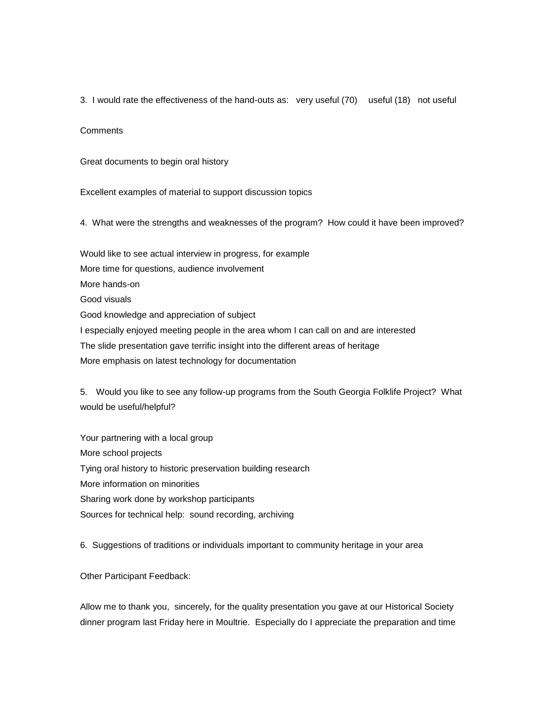3. I would rate the effectiveness of the hand-outs as: very useful (70) useful (18) not useful

**Comments** 

Great documents to begin oral history

Excellent examples of material to support discussion topics

4. What were the strengths and weaknesses of the program? How could it have been improved?

Would like to see actual interview in progress, for example More time for questions, audience involvement More hands-on Good visuals Good knowledge and appreciation of subject I especially enjoyed meeting people in the area whom I can call on and are interested The slide presentation gave terrific insight into the different areas of heritage More emphasis on latest technology for documentation

5. Would you like to see any follow-up programs from the South Georgia Folklife Project? What would be useful/helpful?

Your partnering with a local group More school projects Tying oral history to historic preservation building research More information on minorities Sharing work done by workshop participants Sources for technical help: sound recording, archiving

6. Suggestions of traditions or individuals important to community heritage in your area

Other Participant Feedback:

Allow me to thank you, sincerely, for the quality presentation you gave at our Historical Society dinner program last Friday here in Moultrie. Especially do I appreciate the preparation and time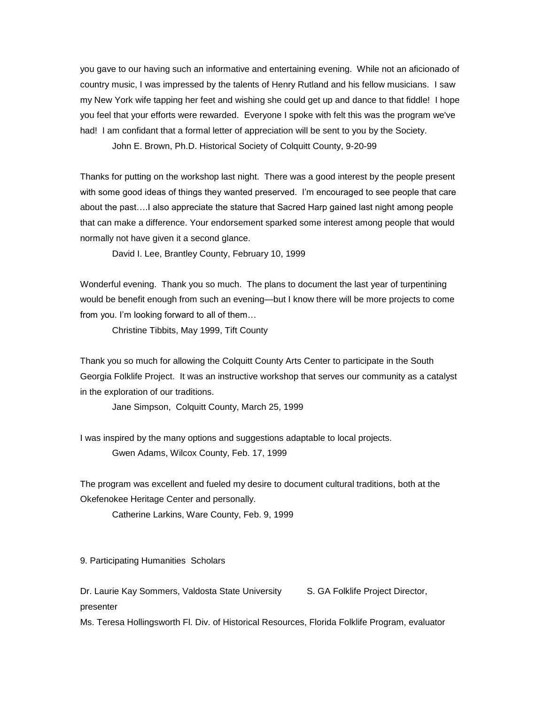you gave to our having such an informative and entertaining evening. While not an aficionado of country music, I was impressed by the talents of Henry Rutland and his fellow musicians. I saw my New York wife tapping her feet and wishing she could get up and dance to that fiddle! I hope you feel that your efforts were rewarded. Everyone I spoke with felt this was the program we've had! I am confidant that a formal letter of appreciation will be sent to you by the Society.

John E. Brown, Ph.D. Historical Society of Colquitt County, 9-20-99

Thanks for putting on the workshop last night. There was a good interest by the people present with some good ideas of things they wanted preserved. I'm encouraged to see people that care about the past….I also appreciate the stature that Sacred Harp gained last night among people that can make a difference. Your endorsement sparked some interest among people that would normally not have given it a second glance.

David I. Lee, Brantley County, February 10, 1999

Wonderful evening. Thank you so much. The plans to document the last year of turpentining would be benefit enough from such an evening—but I know there will be more projects to come from you. I'm looking forward to all of them…

Christine Tibbits, May 1999, Tift County

Thank you so much for allowing the Colquitt County Arts Center to participate in the South Georgia Folklife Project. It was an instructive workshop that serves our community as a catalyst in the exploration of our traditions.

Jane Simpson, Colquitt County, March 25, 1999

I was inspired by the many options and suggestions adaptable to local projects. Gwen Adams, Wilcox County, Feb. 17, 1999

The program was excellent and fueled my desire to document cultural traditions, both at the Okefenokee Heritage Center and personally.

Catherine Larkins, Ware County, Feb. 9, 1999

9. Participating Humanities Scholars

Dr. Laurie Kay Sommers, Valdosta State University S. GA Folklife Project Director, presenter

Ms. Teresa Hollingsworth Fl. Div. of Historical Resources, Florida Folklife Program, evaluator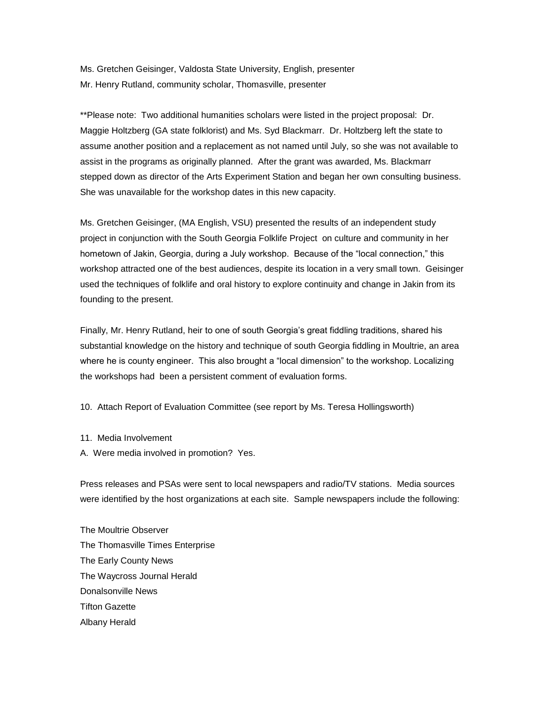Ms. Gretchen Geisinger, Valdosta State University, English, presenter Mr. Henry Rutland, community scholar, Thomasville, presenter

\*\*Please note: Two additional humanities scholars were listed in the project proposal: Dr. Maggie Holtzberg (GA state folklorist) and Ms. Syd Blackmarr. Dr. Holtzberg left the state to assume another position and a replacement as not named until July, so she was not available to assist in the programs as originally planned. After the grant was awarded, Ms. Blackmarr stepped down as director of the Arts Experiment Station and began her own consulting business. She was unavailable for the workshop dates in this new capacity.

Ms. Gretchen Geisinger, (MA English, VSU) presented the results of an independent study project in conjunction with the South Georgia Folklife Project on culture and community in her hometown of Jakin, Georgia, during a July workshop. Because of the "local connection," this workshop attracted one of the best audiences, despite its location in a very small town. Geisinger used the techniques of folklife and oral history to explore continuity and change in Jakin from its founding to the present.

Finally, Mr. Henry Rutland, heir to one of south Georgia's great fiddling traditions, shared his substantial knowledge on the history and technique of south Georgia fiddling in Moultrie, an area where he is county engineer. This also brought a "local dimension" to the workshop. Localizing the workshops had been a persistent comment of evaluation forms.

10. Attach Report of Evaluation Committee (see report by Ms. Teresa Hollingsworth)

- 11. Media Involvement
- A. Were media involved in promotion? Yes.

Press releases and PSAs were sent to local newspapers and radio/TV stations. Media sources were identified by the host organizations at each site. Sample newspapers include the following:

The Moultrie Observer The Thomasville Times Enterprise The Early County News The Waycross Journal Herald Donalsonville News Tifton Gazette Albany Herald